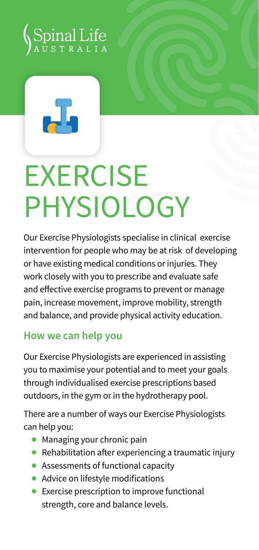



## **EXERCISE** PHYSIOI OGY

Our Exercise Physiologists specialise in clinical exercise intervention for people who may be at risk of developing or have existing medical conditions or injuries. They work closely with you to prescribe and evaluate safe and effective exercise programs to prevent or manage pain, increase movement, improve mobility, strength and balance, and provide physical activity education.

## **How we can help you**

Our Exercise Physiologists are experienced in assisting you to maximise your potential and to meet your goals through individualised exercise prescriptions based outdoors, in the gym or in the hydrotherapy pool.

There are a number of ways our Exercise Physiologists can help you:

- **●** Managing your chronic pain
- **●** Rehabilitation after experiencing a traumatic injury
- **●** Assessments of functional capacity
- **●** Advice on lifestyle modifications
- **●** Exercise prescription to improve functional strength, core and balance levels.